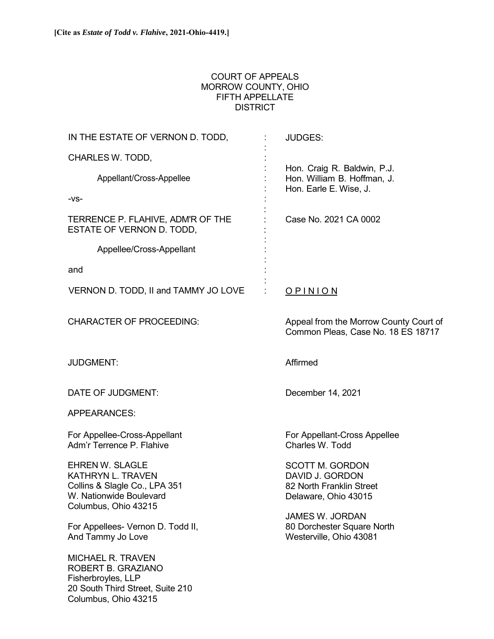Columbus, Ohio 43215

## COURT OF APPEALS MORROW COUNTY, OHIO FIFTH APPELLATE **DISTRICT**

| IN THE ESTATE OF VERNON D. TODD,                                                                                                       | <b>JUDGES:</b>                                                                                                          |
|----------------------------------------------------------------------------------------------------------------------------------------|-------------------------------------------------------------------------------------------------------------------------|
| CHARLES W. TODD,                                                                                                                       |                                                                                                                         |
| Appellant/Cross-Appellee                                                                                                               | Hon. Craig R. Baldwin, P.J.<br>Hon. William B. Hoffman, J.                                                              |
| $-VS-$                                                                                                                                 | Hon. Earle E. Wise, J.                                                                                                  |
| TERRENCE P. FLAHIVE, ADM'R OF THE<br>ESTATE OF VERNON D. TODD,                                                                         | Case No. 2021 CA 0002                                                                                                   |
| Appellee/Cross-Appellant                                                                                                               |                                                                                                                         |
| and                                                                                                                                    |                                                                                                                         |
| VERNON D. TODD, II and TAMMY JO LOVE                                                                                                   | <u>OPINION</u>                                                                                                          |
| <b>CHARACTER OF PROCEEDING:</b>                                                                                                        | Appeal from the Morrow County Court of<br>Common Pleas, Case No. 18 ES 18717                                            |
| <b>JUDGMENT:</b>                                                                                                                       | Affirmed                                                                                                                |
| DATE OF JUDGMENT:                                                                                                                      | December 14, 2021                                                                                                       |
| <b>APPEARANCES:</b>                                                                                                                    |                                                                                                                         |
| For Appellee-Cross-Appellant<br>Adm'r Terrence P. Flahive                                                                              | For Appellant-Cross Appellee<br>Charles W. Todd                                                                         |
| <b>EHREN W. SLAGLE</b><br><b>KATHRYN L. TRAVEN</b><br>Collins & Slagle Co., LPA 351<br>W. Nationwide Boulevard<br>Columbus, Ohio 43215 | <b>SCOTT M. GORDON</b><br>DAVID J. GORDON<br>82 North Franklin Street<br>Delaware, Ohio 43015<br><b>JAMES W. JORDAN</b> |
| For Appellees- Vernon D. Todd II,<br>And Tammy Jo Love                                                                                 | 80 Dorchester Square North<br>Westerville, Ohio 43081                                                                   |
| <b>MICHAEL R. TRAVEN</b><br>ROBERT B. GRAZIANO<br>Fisherbroyles, LLP<br>20 South Third Street, Suite 210                               |                                                                                                                         |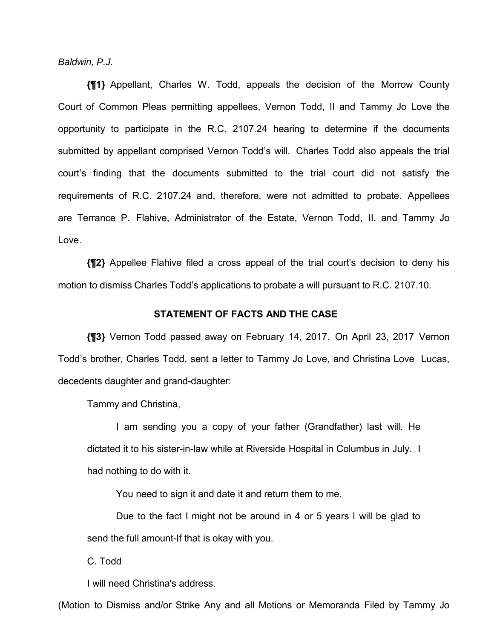*Baldwin, P.J.*

**{¶1}** Appellant, Charles W. Todd, appeals the decision of the Morrow County Court of Common Pleas permitting appellees, Vernon Todd, II and Tammy Jo Love the opportunity to participate in the R.C. 2107.24 hearing to determine if the documents submitted by appellant comprised Vernon Todd's will. Charles Todd also appeals the trial court's finding that the documents submitted to the trial court did not satisfy the requirements of R.C. 2107.24 and, therefore, were not admitted to probate. Appellees are Terrance P. Flahive, Administrator of the Estate, Vernon Todd, II. and Tammy Jo Love.

**{¶2}** Appellee Flahive filed a cross appeal of the trial court's decision to deny his motion to dismiss Charles Todd's applications to probate a will pursuant to R.C. 2107.10.

## **STATEMENT OF FACTS AND THE CASE**

**{¶3}** Vernon Todd passed away on February 14, 2017. On April 23, 2017 Vernon Todd's brother, Charles Todd, sent a letter to Tammy Jo Love, and Christina Love Lucas, decedents daughter and grand-daughter:

Tammy and Christina,

I am sending you a copy of your father (Grandfather) last will. He dictated it to his sister-in-law while at Riverside Hospital in Columbus in July. I had nothing to do with it.

You need to sign it and date it and return them to me.

Due to the fact I might not be around in 4 or 5 years I will be glad to send the full amount-If that is okay with you.

C. Todd

I will need Christina's address.

(Motion to Dismiss and/or Strike Any and all Motions or Memoranda Filed by Tammy Jo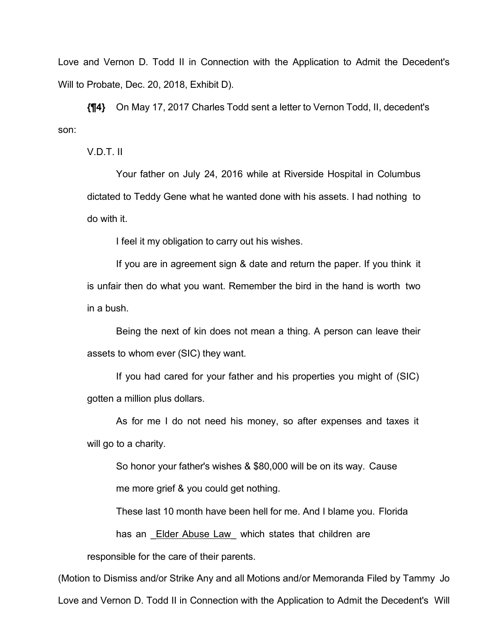Love and Vernon D. Todd II in Connection with the Application to Admit the Decedent's Will to Probate, Dec. 20, 2018, Exhibit D).

**{¶4}** On May 17, 2017 Charles Todd sent a letter to Vernon Todd, II, decedent's son:

V.D.T. II

Your father on July 24, 2016 while at Riverside Hospital in Columbus dictated to Teddy Gene what he wanted done with his assets. I had nothing to do with it.

I feel it my obligation to carry out his wishes.

If you are in agreement sign & date and return the paper. If you think it is unfair then do what you want. Remember the bird in the hand is worth two in a bush.

Being the next of kin does not mean a thing. A person can leave their assets to whom ever (SIC) they want.

If you had cared for your father and his properties you might of (SIC) gotten a million plus dollars.

As for me I do not need his money, so after expenses and taxes it will go to a charity.

So honor your father's wishes & \$80,000 will be on its way. Cause me more grief & you could get nothing.

These last 10 month have been hell for me. And I blame you. Florida

has an Elder Abuse Law which states that children are

responsible for the care of their parents.

(Motion to Dismiss and/or Strike Any and all Motions and/or Memoranda Filed by Tammy Jo Love and Vernon D. Todd II in Connection with the Application to Admit the Decedent's Will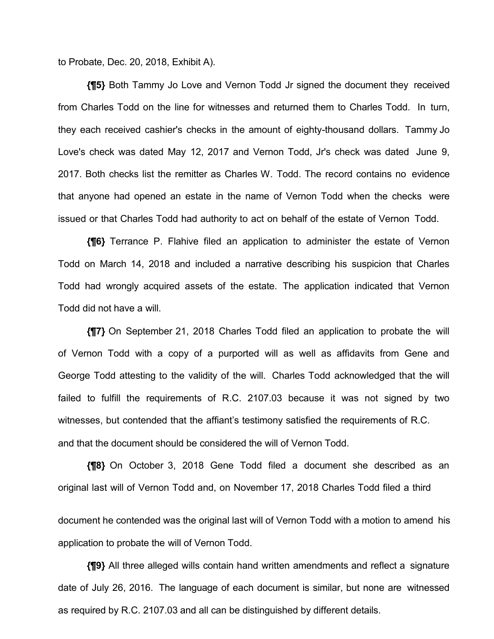to Probate, Dec. 20, 2018, Exhibit A).

**{¶5}** Both Tammy Jo Love and Vernon Todd Jr signed the document they received from Charles Todd on the line for witnesses and returned them to Charles Todd. In turn, they each received cashier's checks in the amount of eighty-thousand dollars. Tammy Jo Love's check was dated May 12, 2017 and Vernon Todd, Jr's check was dated June 9, 2017. Both checks list the remitter as Charles W. Todd. The record contains no evidence that anyone had opened an estate in the name of Vernon Todd when the checks were issued or that Charles Todd had authority to act on behalf of the estate of Vernon Todd.

**{¶6}** Terrance P. Flahive filed an application to administer the estate of Vernon Todd on March 14, 2018 and included a narrative describing his suspicion that Charles Todd had wrongly acquired assets of the estate. The application indicated that Vernon Todd did not have a will.

**{¶7}** On September 21, 2018 Charles Todd filed an application to probate the will of Vernon Todd with a copy of a purported will as well as affidavits from Gene and George Todd attesting to the validity of the will. Charles Todd acknowledged that the will failed to fulfill the requirements of R.C. 2107.03 because it was not signed by two witnesses, but contended that the affiant's testimony satisfied the requirements of R.C. and that the document should be considered the will of Vernon Todd.

**{¶8}** On October 3, 2018 Gene Todd filed a document she described as an original last will of Vernon Todd and, on November 17, 2018 Charles Todd filed a third

document he contended was the original last will of Vernon Todd with a motion to amend his application to probate the will of Vernon Todd.

**{¶9}** All three alleged wills contain hand written amendments and reflect a signature date of July 26, 2016. The language of each document is similar, but none are witnessed as required by R.C. 2107.03 and all can be distinguished by different details.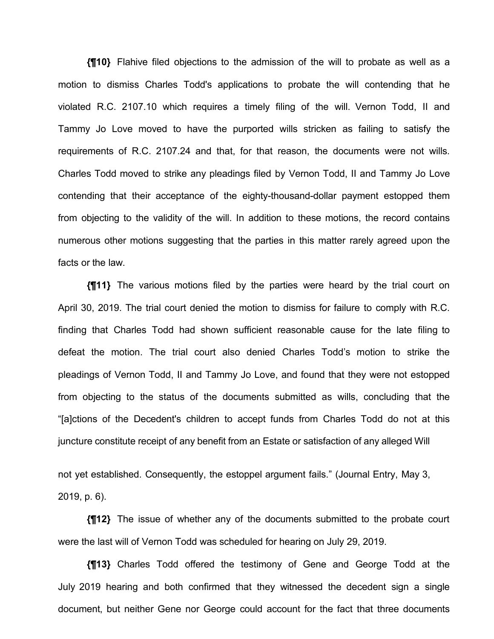**{¶10}** Flahive filed objections to the admission of the will to probate as well as a motion to dismiss Charles Todd's applications to probate the will contending that he violated R.C. 2107.10 which requires a timely filing of the will. Vernon Todd, II and Tammy Jo Love moved to have the purported wills stricken as failing to satisfy the requirements of R.C. 2107.24 and that, for that reason, the documents were not wills. Charles Todd moved to strike any pleadings filed by Vernon Todd, II and Tammy Jo Love contending that their acceptance of the eighty-thousand-dollar payment estopped them from objecting to the validity of the will. In addition to these motions, the record contains numerous other motions suggesting that the parties in this matter rarely agreed upon the facts or the law.

**{¶11}** The various motions filed by the parties were heard by the trial court on April 30, 2019. The trial court denied the motion to dismiss for failure to comply with R.C. finding that Charles Todd had shown sufficient reasonable cause for the late filing to defeat the motion. The trial court also denied Charles Todd's motion to strike the pleadings of Vernon Todd, II and Tammy Jo Love, and found that they were not estopped from objecting to the status of the documents submitted as wills, concluding that the "[a]ctions of the Decedent's children to accept funds from Charles Todd do not at this juncture constitute receipt of any benefit from an Estate or satisfaction of any alleged Will

not yet established. Consequently, the estoppel argument fails." (Journal Entry, May 3, 2019, p. 6).

**{¶12}** The issue of whether any of the documents submitted to the probate court were the last will of Vernon Todd was scheduled for hearing on July 29, 2019.

**{¶13}** Charles Todd offered the testimony of Gene and George Todd at the July 2019 hearing and both confirmed that they witnessed the decedent sign a single document, but neither Gene nor George could account for the fact that three documents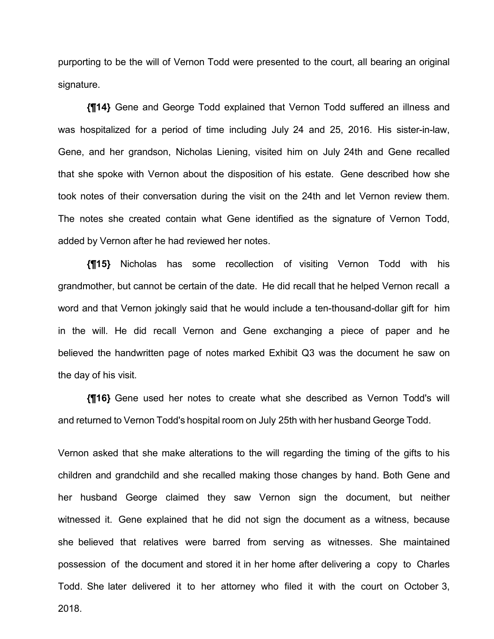purporting to be the will of Vernon Todd were presented to the court, all bearing an original signature.

**{¶14}** Gene and George Todd explained that Vernon Todd suffered an illness and was hospitalized for a period of time including July 24 and 25, 2016. His sister-in-law, Gene, and her grandson, Nicholas Liening, visited him on July 24th and Gene recalled that she spoke with Vernon about the disposition of his estate. Gene described how she took notes of their conversation during the visit on the 24th and let Vernon review them. The notes she created contain what Gene identified as the signature of Vernon Todd, added by Vernon after he had reviewed her notes.

**{¶15}** Nicholas has some recollection of visiting Vernon Todd with his grandmother, but cannot be certain of the date. He did recall that he helped Vernon recall a word and that Vernon jokingly said that he would include a ten-thousand-dollar gift for him in the will. He did recall Vernon and Gene exchanging a piece of paper and he believed the handwritten page of notes marked Exhibit Q3 was the document he saw on the day of his visit.

**{¶16}** Gene used her notes to create what she described as Vernon Todd's will and returned to Vernon Todd's hospital room on July 25th with her husband George Todd.

Vernon asked that she make alterations to the will regarding the timing of the gifts to his children and grandchild and she recalled making those changes by hand. Both Gene and her husband George claimed they saw Vernon sign the document, but neither witnessed it. Gene explained that he did not sign the document as a witness, because she believed that relatives were barred from serving as witnesses. She maintained possession of the document and stored it in her home after delivering a copy to Charles Todd. She later delivered it to her attorney who filed it with the court on October 3,

2018.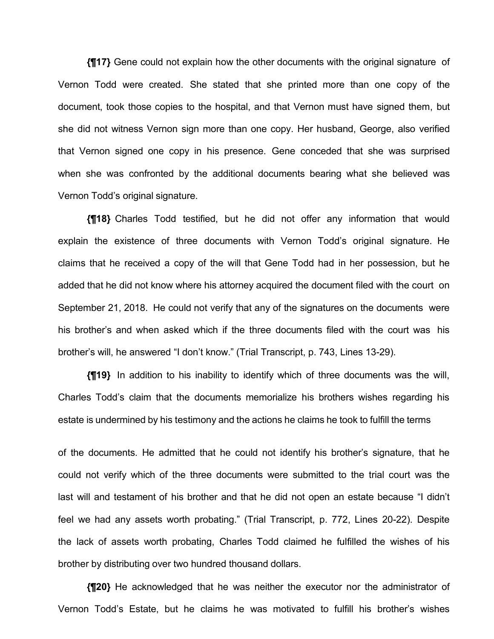**{¶17}** Gene could not explain how the other documents with the original signature of Vernon Todd were created. She stated that she printed more than one copy of the document, took those copies to the hospital, and that Vernon must have signed them, but she did not witness Vernon sign more than one copy. Her husband, George, also verified that Vernon signed one copy in his presence. Gene conceded that she was surprised when she was confronted by the additional documents bearing what she believed was Vernon Todd's original signature.

**{¶18}** Charles Todd testified, but he did not offer any information that would explain the existence of three documents with Vernon Todd's original signature. He claims that he received a copy of the will that Gene Todd had in her possession, but he added that he did not know where his attorney acquired the document filed with the court on September 21, 2018. He could not verify that any of the signatures on the documents were his brother's and when asked which if the three documents filed with the court was his brother's will, he answered "I don't know." (Trial Transcript, p. 743, Lines 13-29).

**{¶19}** In addition to his inability to identify which of three documents was the will, Charles Todd's claim that the documents memorialize his brothers wishes regarding his estate is undermined by his testimony and the actions he claims he took to fulfill the terms

of the documents. He admitted that he could not identify his brother's signature, that he could not verify which of the three documents were submitted to the trial court was the last will and testament of his brother and that he did not open an estate because "I didn't feel we had any assets worth probating." (Trial Transcript, p. 772, Lines 20-22). Despite the lack of assets worth probating, Charles Todd claimed he fulfilled the wishes of his brother by distributing over two hundred thousand dollars.

**{¶20}** He acknowledged that he was neither the executor nor the administrator of Vernon Todd's Estate, but he claims he was motivated to fulfill his brother's wishes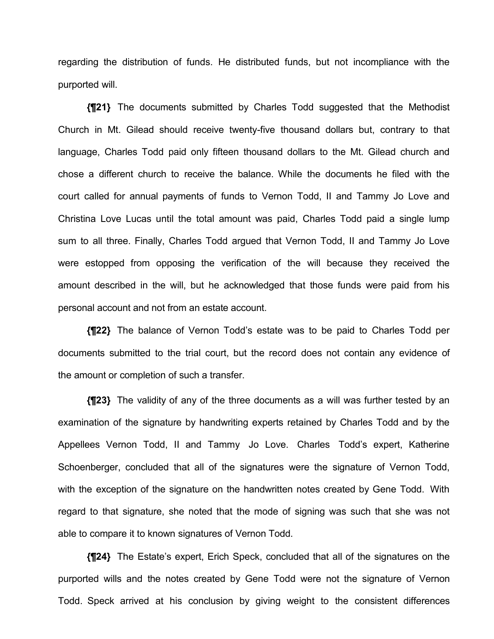regarding the distribution of funds. He distributed funds, but not incompliance with the purported will.

**{¶21}** The documents submitted by Charles Todd suggested that the Methodist Church in Mt. Gilead should receive twenty-five thousand dollars but, contrary to that language, Charles Todd paid only fifteen thousand dollars to the Mt. Gilead church and chose a different church to receive the balance. While the documents he filed with the court called for annual payments of funds to Vernon Todd, II and Tammy Jo Love and Christina Love Lucas until the total amount was paid, Charles Todd paid a single lump sum to all three. Finally, Charles Todd argued that Vernon Todd, II and Tammy Jo Love were estopped from opposing the verification of the will because they received the amount described in the will, but he acknowledged that those funds were paid from his personal account and not from an estate account.

**{¶22}** The balance of Vernon Todd's estate was to be paid to Charles Todd per documents submitted to the trial court, but the record does not contain any evidence of the amount or completion of such a transfer.

**{¶23}** The validity of any of the three documents as a will was further tested by an examination of the signature by handwriting experts retained by Charles Todd and by the Appellees Vernon Todd, II and Tammy Jo Love. Charles Todd's expert, Katherine Schoenberger, concluded that all of the signatures were the signature of Vernon Todd, with the exception of the signature on the handwritten notes created by Gene Todd. With regard to that signature, she noted that the mode of signing was such that she was not able to compare it to known signatures of Vernon Todd.

**{¶24}** The Estate's expert, Erich Speck, concluded that all of the signatures on the purported wills and the notes created by Gene Todd were not the signature of Vernon Todd. Speck arrived at his conclusion by giving weight to the consistent differences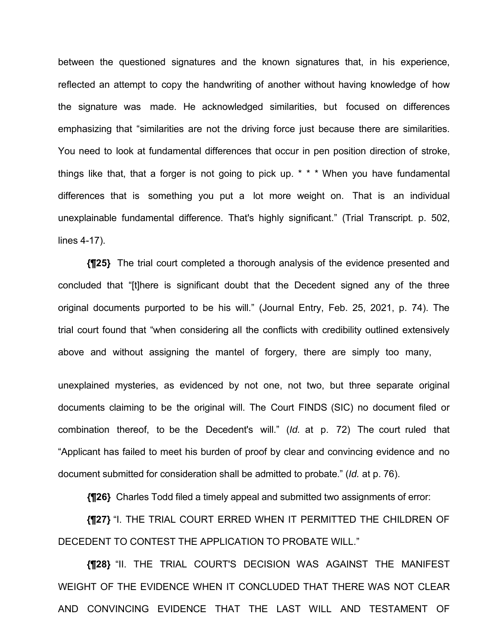between the questioned signatures and the known signatures that, in his experience, reflected an attempt to copy the handwriting of another without having knowledge of how the signature was made. He acknowledged similarities, but focused on differences emphasizing that "similarities are not the driving force just because there are similarities. You need to look at fundamental differences that occur in pen position direction of stroke, things like that, that a forger is not going to pick up. \* \* \* When you have fundamental differences that is something you put a lot more weight on. That is an individual unexplainable fundamental difference. That's highly significant." (Trial Transcript. p. 502, lines 4-17).

**{¶25}** The trial court completed a thorough analysis of the evidence presented and concluded that "[t]here is significant doubt that the Decedent signed any of the three original documents purported to be his will." (Journal Entry, Feb. 25, 2021, p. 74). The trial court found that "when considering all the conflicts with credibility outlined extensively above and without assigning the mantel of forgery, there are simply too many,

unexplained mysteries, as evidenced by not one, not two, but three separate original documents claiming to be the original will. The Court FINDS (SIC) no document filed or combination thereof, to be the Decedent's will." (*Id.* at p. 72) The court ruled that "Applicant has failed to meet his burden of proof by clear and convincing evidence and no document submitted for consideration shall be admitted to probate." (*Id.* at p. 76).

**{¶26}** Charles Todd filed a timely appeal and submitted two assignments of error:

**{¶27}** "I. THE TRIAL COURT ERRED WHEN IT PERMITTED THE CHILDREN OF DECEDENT TO CONTEST THE APPLICATION TO PROBATE WILL."

**{¶28}** "II. THE TRIAL COURT'S DECISION WAS AGAINST THE MANIFEST WEIGHT OF THE EVIDENCE WHEN IT CONCLUDED THAT THERE WAS NOT CLEAR AND CONVINCING EVIDENCE THAT THE LAST WILL AND TESTAMENT OF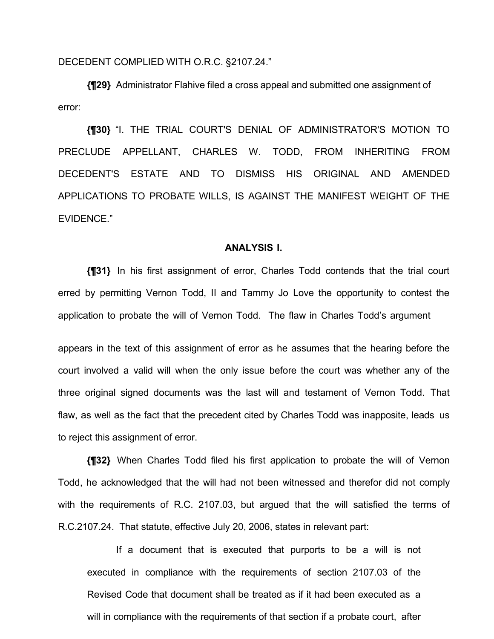DECEDENT COMPLIED WITH O.R.C. §2107.24."

**{¶29}** Administrator Flahive filed a cross appeal and submitted one assignment of error:

**{¶30}** "I. THE TRIAL COURT'S DENIAL OF ADMINISTRATOR'S MOTION TO PRECLUDE APPELLANT, CHARLES W. TODD, FROM INHERITING FROM DECEDENT'S ESTATE AND TO DISMISS HIS ORIGINAL AND AMENDED APPLICATIONS TO PROBATE WILLS, IS AGAINST THE MANIFEST WEIGHT OF THE EVIDENCE."

## **ANALYSIS I.**

**{¶31}** In his first assignment of error, Charles Todd contends that the trial court erred by permitting Vernon Todd, II and Tammy Jo Love the opportunity to contest the application to probate the will of Vernon Todd. The flaw in Charles Todd's argument

appears in the text of this assignment of error as he assumes that the hearing before the court involved a valid will when the only issue before the court was whether any of the three original signed documents was the last will and testament of Vernon Todd. That flaw, as well as the fact that the precedent cited by Charles Todd was inapposite, leads us to reject this assignment of error.

**{¶32}** When Charles Todd filed his first application to probate the will of Vernon Todd, he acknowledged that the will had not been witnessed and therefor did not comply with the requirements of R.C. 2107.03, but argued that the will satisfied the terms of R.C.2107.24. That statute, effective July 20, 2006, states in relevant part:

If a document that is executed that purports to be a will is not executed in compliance with the requirements of section 2107.03 of the Revised Code that document shall be treated as if it had been executed as a will in compliance with the requirements of that section if a probate court, after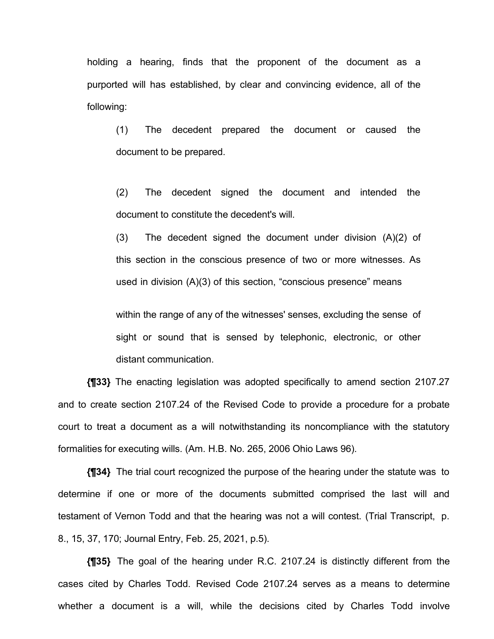holding a hearing, finds that the proponent of the document as a purported will has established, by clear and convincing evidence, all of the following:

(1) The decedent prepared the document or caused the document to be prepared.

(2) The decedent signed the document and intended the document to constitute the decedent's will.

(3) The decedent signed the document under division (A)(2) of this section in the conscious presence of two or more witnesses. As used in division (A)(3) of this section, "conscious presence" means

within the range of any of the witnesses' senses, excluding the sense of sight or sound that is sensed by telephonic, electronic, or other distant communication.

**{¶33}** The enacting legislation was adopted specifically to amend section 2107.27 and to create section 2107.24 of the Revised Code to provide a procedure for a probate court to treat a document as a will notwithstanding its noncompliance with the statutory formalities for executing wills. (Am. H.B. No. 265, 2006 Ohio Laws 96).

**{¶34}** The trial court recognized the purpose of the hearing under the statute was to determine if one or more of the documents submitted comprised the last will and testament of Vernon Todd and that the hearing was not a will contest. (Trial Transcript, p. 8., 15, 37, 170; Journal Entry, Feb. 25, 2021, p.5).

**{¶35}** The goal of the hearing under R.C. 2107.24 is distinctly different from the cases cited by Charles Todd. Revised Code 2107.24 serves as a means to determine whether a document is a will, while the decisions cited by Charles Todd involve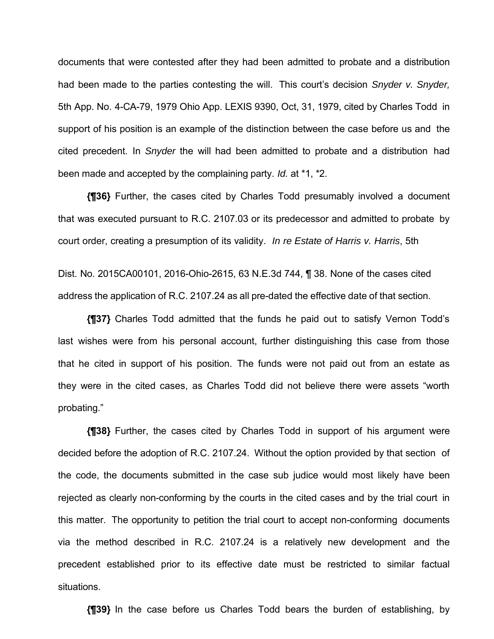documents that were contested after they had been admitted to probate and a distribution had been made to the parties contesting the will. This court's decision *Snyder v. Snyder,*  5th App. No. 4-CA-79, 1979 Ohio App. LEXIS 9390, Oct, 31, 1979, cited by Charles Todd in support of his position is an example of the distinction between the case before us and the cited precedent. In *Snyder* the will had been admitted to probate and a distribution had been made and accepted by the complaining party. *Id.* at \*1, \*2.

**{¶36}** Further, the cases cited by Charles Todd presumably involved a document that was executed pursuant to R.C. 2107.03 or its predecessor and admitted to probate by court order, creating a presumption of its validity. *In re Estate of Harris v. Harris*, 5th

Dist. No. 2015CA00101, 2016-Ohio-2615, 63 N.E.3d 744, ¶ 38. None of the cases cited address the application of R.C. 2107.24 as all pre-dated the effective date of that section.

**{¶37}** Charles Todd admitted that the funds he paid out to satisfy Vernon Todd's last wishes were from his personal account, further distinguishing this case from those that he cited in support of his position. The funds were not paid out from an estate as they were in the cited cases, as Charles Todd did not believe there were assets "worth probating."

**{¶38}** Further, the cases cited by Charles Todd in support of his argument were decided before the adoption of R.C. 2107.24. Without the option provided by that section of the code, the documents submitted in the case sub judice would most likely have been rejected as clearly non-conforming by the courts in the cited cases and by the trial court in this matter. The opportunity to petition the trial court to accept non-conforming documents via the method described in R.C. 2107.24 is a relatively new development and the precedent established prior to its effective date must be restricted to similar factual situations.

**{¶39}** In the case before us Charles Todd bears the burden of establishing, by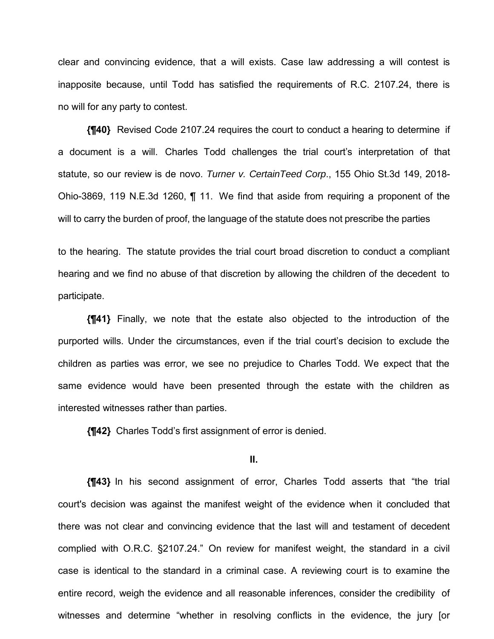clear and convincing evidence, that a will exists. Case law addressing a will contest is inapposite because, until Todd has satisfied the requirements of R.C. 2107.24, there is no will for any party to contest.

**{¶40}** Revised Code 2107.24 requires the court to conduct a hearing to determine if a document is a will. Charles Todd challenges the trial court's interpretation of that statute, so our review is de novo. *Turner v. CertainTeed Corp*., 155 Ohio St.3d 149, 2018- Ohio-3869, 119 N.E.3d 1260, ¶ 11. We find that aside from requiring a proponent of the will to carry the burden of proof, the language of the statute does not prescribe the parties

to the hearing. The statute provides the trial court broad discretion to conduct a compliant hearing and we find no abuse of that discretion by allowing the children of the decedent to participate.

**{¶41}** Finally, we note that the estate also objected to the introduction of the purported wills. Under the circumstances, even if the trial court's decision to exclude the children as parties was error, we see no prejudice to Charles Todd. We expect that the same evidence would have been presented through the estate with the children as interested witnesses rather than parties.

**{¶42}** Charles Todd's first assignment of error is denied.

## **II.**

**{¶43}** In his second assignment of error, Charles Todd asserts that "the trial court's decision was against the manifest weight of the evidence when it concluded that there was not clear and convincing evidence that the last will and testament of decedent complied with O.R.C. §2107.24." On review for manifest weight, the standard in a civil case is identical to the standard in a criminal case. A reviewing court is to examine the entire record, weigh the evidence and all reasonable inferences, consider the credibility of witnesses and determine "whether in resolving conflicts in the evidence, the jury [or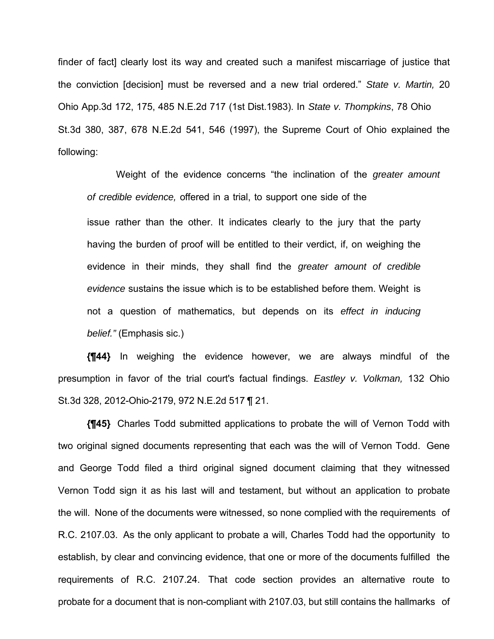finder of fact] clearly lost its way and created such a manifest miscarriage of justice that the conviction [decision] must be reversed and a new trial ordered." *State v. Martin,* 20 Ohio App.3d 172, 175, 485 N.E.2d 717 (1st Dist.1983). In *State v. Thompkins*, 78 Ohio St.3d 380, 387, 678 N.E.2d 541, 546 (1997), the Supreme Court of Ohio explained the following:

Weight of the evidence concerns "the inclination of the *greater amount of credible evidence,* offered in a trial, to support one side of the issue rather than the other. It indicates clearly to the jury that the party having the burden of proof will be entitled to their verdict, if, on weighing the evidence in their minds, they shall find the *greater amount of credible evidence* sustains the issue which is to be established before them. Weight is not a question of mathematics, but depends on its *effect in inducing belief."* (Emphasis sic.)

**{¶44}** In weighing the evidence however, we are always mindful of the presumption in favor of the trial court's factual findings. *Eastley v. Volkman,* 132 Ohio St.3d 328, 2012-Ohio-2179, 972 N.E.2d 517 ¶ 21.

**{¶45}** Charles Todd submitted applications to probate the will of Vernon Todd with two original signed documents representing that each was the will of Vernon Todd. Gene and George Todd filed a third original signed document claiming that they witnessed Vernon Todd sign it as his last will and testament, but without an application to probate the will. None of the documents were witnessed, so none complied with the requirements of R.C. 2107.03. As the only applicant to probate a will, Charles Todd had the opportunity to establish, by clear and convincing evidence, that one or more of the documents fulfilled the requirements of R.C. 2107.24. That code section provides an alternative route to probate for a document that is non-compliant with 2107.03, but still contains the hallmarks of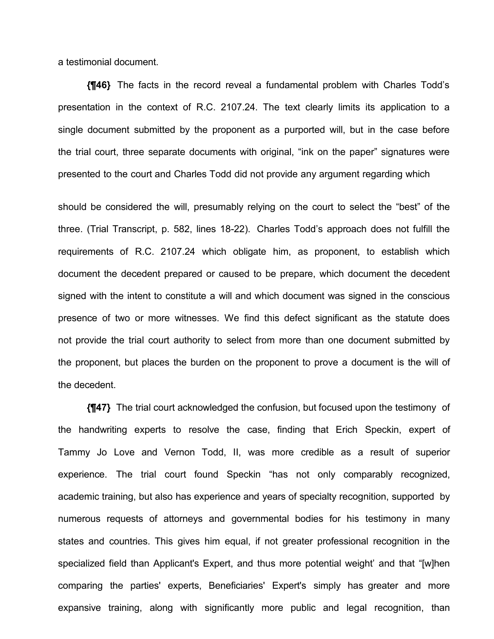a testimonial document.

**{¶46}** The facts in the record reveal a fundamental problem with Charles Todd's presentation in the context of R.C. 2107.24. The text clearly limits its application to a single document submitted by the proponent as a purported will, but in the case before the trial court, three separate documents with original, "ink on the paper" signatures were presented to the court and Charles Todd did not provide any argument regarding which

should be considered the will, presumably relying on the court to select the "best" of the three. (Trial Transcript, p. 582, lines 18-22). Charles Todd's approach does not fulfill the requirements of R.C. 2107.24 which obligate him, as proponent, to establish which document the decedent prepared or caused to be prepare, which document the decedent signed with the intent to constitute a will and which document was signed in the conscious presence of two or more witnesses. We find this defect significant as the statute does not provide the trial court authority to select from more than one document submitted by the proponent, but places the burden on the proponent to prove a document is the will of the decedent.

**{¶47}** The trial court acknowledged the confusion, but focused upon the testimony of the handwriting experts to resolve the case, finding that Erich Speckin, expert of Tammy Jo Love and Vernon Todd, II, was more credible as a result of superior experience. The trial court found Speckin "has not only comparably recognized, academic training, but also has experience and years of specialty recognition, supported by numerous requests of attorneys and governmental bodies for his testimony in many states and countries. This gives him equal, if not greater professional recognition in the specialized field than Applicant's Expert, and thus more potential weight' and that "[w]hen comparing the parties' experts, Beneficiaries' Expert's simply has greater and more expansive training, along with significantly more public and legal recognition, than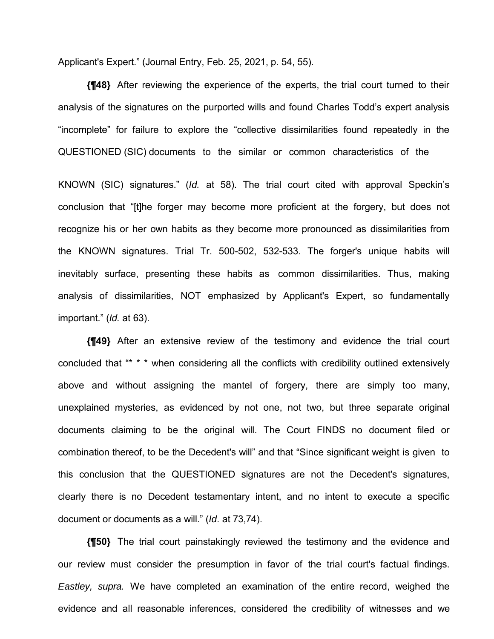Applicant's Expert." (Journal Entry, Feb. 25, 2021, p. 54, 55).

**{¶48}** After reviewing the experience of the experts, the trial court turned to their analysis of the signatures on the purported wills and found Charles Todd's expert analysis "incomplete" for failure to explore the "collective dissimilarities found repeatedly in the QUESTIONED (SIC) documents to the similar or common characteristics of the

KNOWN (SIC) signatures." (*Id.* at 58). The trial court cited with approval Speckin's conclusion that "[t]he forger may become more proficient at the forgery, but does not recognize his or her own habits as they become more pronounced as dissimilarities from the KNOWN signatures. Trial Tr. 500-502, 532-533. The forger's unique habits will inevitably surface, presenting these habits as common dissimilarities. Thus, making analysis of dissimilarities, NOT emphasized by Applicant's Expert, so fundamentally important." (*Id.* at 63).

**{¶49}** After an extensive review of the testimony and evidence the trial court concluded that "\* \* \* when considering all the conflicts with credibility outlined extensively above and without assigning the mantel of forgery, there are simply too many, unexplained mysteries, as evidenced by not one, not two, but three separate original documents claiming to be the original will. The Court FINDS no document filed or combination thereof, to be the Decedent's will" and that "Since significant weight is given to this conclusion that the QUESTIONED signatures are not the Decedent's signatures, clearly there is no Decedent testamentary intent, and no intent to execute a specific document or documents as a will." (*Id*. at 73,74).

**{¶50}** The trial court painstakingly reviewed the testimony and the evidence and our review must consider the presumption in favor of the trial court's factual findings. *Eastley, supra.* We have completed an examination of the entire record, weighed the evidence and all reasonable inferences, considered the credibility of witnesses and we